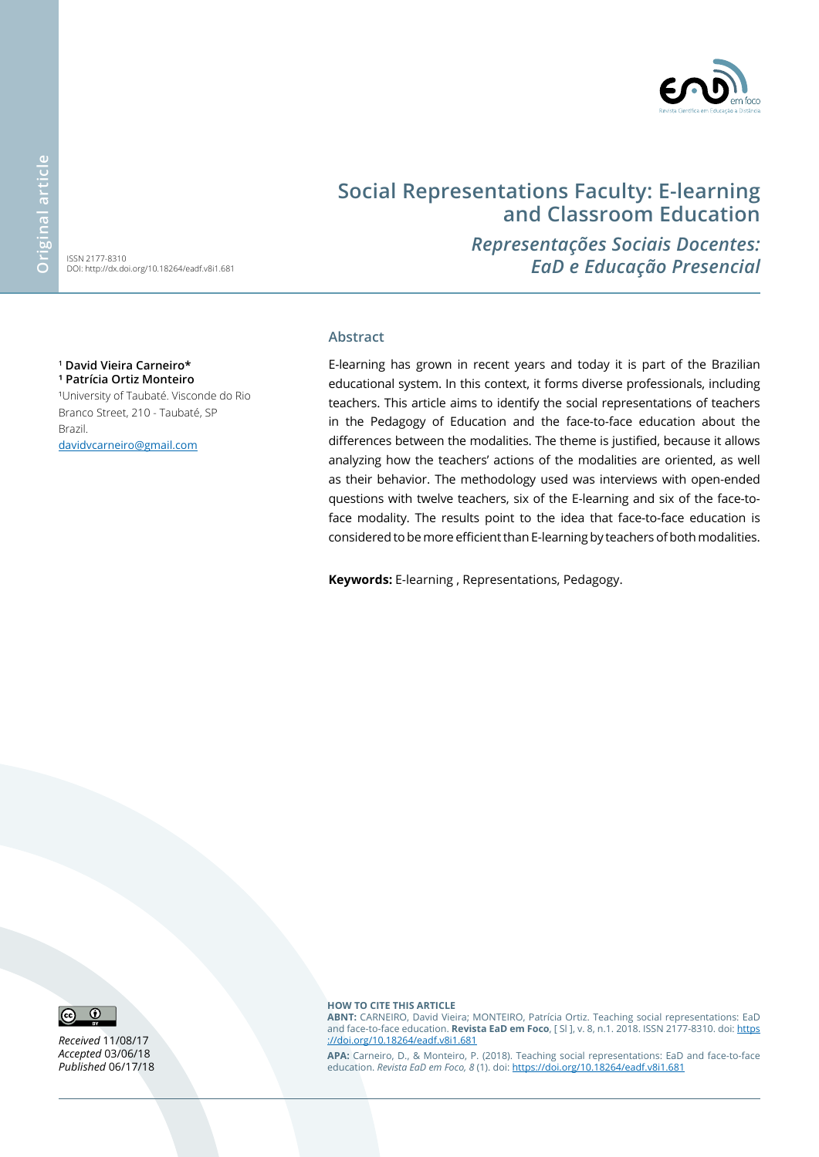

# **Social Representations Faculty: E-learning and Classroom Education**

*Representações Sociais Docentes: EaD e Educação Presencial*

ISSN 2177-8310 DOI: http://dx.doi.org/10.18264/eadf.v8i1.681

<sup>1</sup>University of Taubaté. Visconde do Rio Branco Street, 210 - Taubaté, SP

**1 David Vieira Carneiro\* ¹ Patrícia Ortiz Monteiro**

[davidvcarneiro@gmail.com](mailto:davidvcarneiro%40gmail.com?subject=EAD%20em%20Foco)

Brazil.

# **Abstract**

E-learning has grown in recent years and today it is part of the Brazilian educational system. In this context, it forms diverse professionals, including teachers. This article aims to identify the social representations of teachers in the Pedagogy of Education and the face-to-face education about the differences between the modalities. The theme is justified, because it allows analyzing how the teachers' actions of the modalities are oriented, as well as their behavior. The methodology used was interviews with open-ended questions with twelve teachers, six of the E-learning and six of the face-toface modality. The results point to the idea that face-to-face education is considered to be more efficient than E-learning by teachers of both modalities.

**Keywords:** E-learning , Representations, Pedagogy.

*Received* 11/08/17 *Accepted* 03/06/18 *Published* 06/17/18

 $\boxed{6}$ 

**HOW TO CITE THIS ARTICLE**

**ABNT:** CARNEIRO, David Vieira; MONTEIRO, Patrícia Ortiz. Teaching social representations: EaD and face-to-face education. **Revista EaD em Foco**, [ Sl ], v. 8, n.1. 2018. ISSN 2177-8310. doi: [https](https%20://doi.org/10.18264/eadf.v8i1.681)  [://doi.org/10.18264/eadf.v8i1.681](https%20://doi.org/10.18264/eadf.v8i1.681)

**APA:** Carneiro, D., & Monteiro, P. (2018). Teaching social representations: EaD and face-to-face education. *Revista EaD em Foco, 8* (1). doi:<https://doi.org/10.18264/eadf.v8i1.681>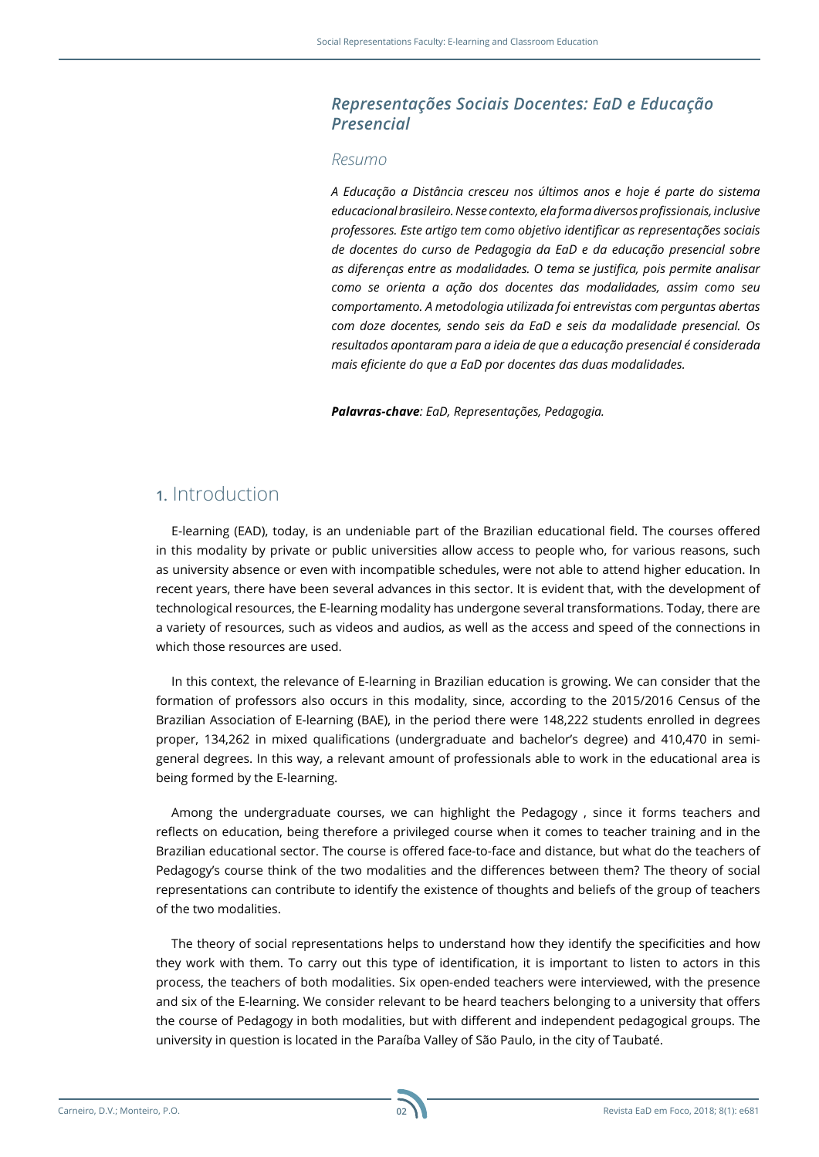#### *Representações Sociais Docentes: EaD e Educação Presencial*

#### *Resumo*

*A Educação a Distância cresceu nos últimos anos e hoje é parte do sistema educacional brasileiro. Nesse contexto, ela forma diversos profissionais, inclusive professores. Este artigo tem como objetivo identificar as representações sociais de docentes do curso de Pedagogia da EaD e da educação presencial sobre as diferenças entre as modalidades. O tema se justifica, pois permite analisar como se orienta a ação dos docentes das modalidades, assim como seu comportamento. A metodologia utilizada foi entrevistas com perguntas abertas com doze docentes, sendo seis da EaD e seis da modalidade presencial. Os resultados apontaram para a ideia de que a educação presencial é considerada mais eficiente do que a EaD por docentes das duas modalidades.*

*Palavras-chave: EaD, Representações, Pedagogia.*

## **1.** Introduction

E-learning (EAD), today, is an undeniable part of the Brazilian educational field. The courses offered in this modality by private or public universities allow access to people who, for various reasons, such as university absence or even with incompatible schedules, were not able to attend higher education. In recent years, there have been several advances in this sector. It is evident that, with the development of technological resources, the E-learning modality has undergone several transformations. Today, there are a variety of resources, such as videos and audios, as well as the access and speed of the connections in which those resources are used.

In this context, the relevance of E-learning in Brazilian education is growing. We can consider that the formation of professors also occurs in this modality, since, according to the 2015/2016 Census of the Brazilian Association of E-learning (BAE), in the period there were 148,222 students enrolled in degrees proper, 134,262 in mixed qualifications (undergraduate and bachelor's degree) and 410,470 in semigeneral degrees. In this way, a relevant amount of professionals able to work in the educational area is being formed by the E-learning.

Among the undergraduate courses, we can highlight the Pedagogy , since it forms teachers and reflects on education, being therefore a privileged course when it comes to teacher training and in the Brazilian educational sector. The course is offered face-to-face and distance, but what do the teachers of Pedagogy's course think of the two modalities and the differences between them? The theory of social representations can contribute to identify the existence of thoughts and beliefs of the group of teachers of the two modalities.

The theory of social representations helps to understand how they identify the specificities and how they work with them. To carry out this type of identification, it is important to listen to actors in this process, the teachers of both modalities. Six open-ended teachers were interviewed, with the presence and six of the E-learning. We consider relevant to be heard teachers belonging to a university that offers the course of Pedagogy in both modalities, but with different and independent pedagogical groups. The university in question is located in the Paraíba Valley of São Paulo, in the city of Taubaté.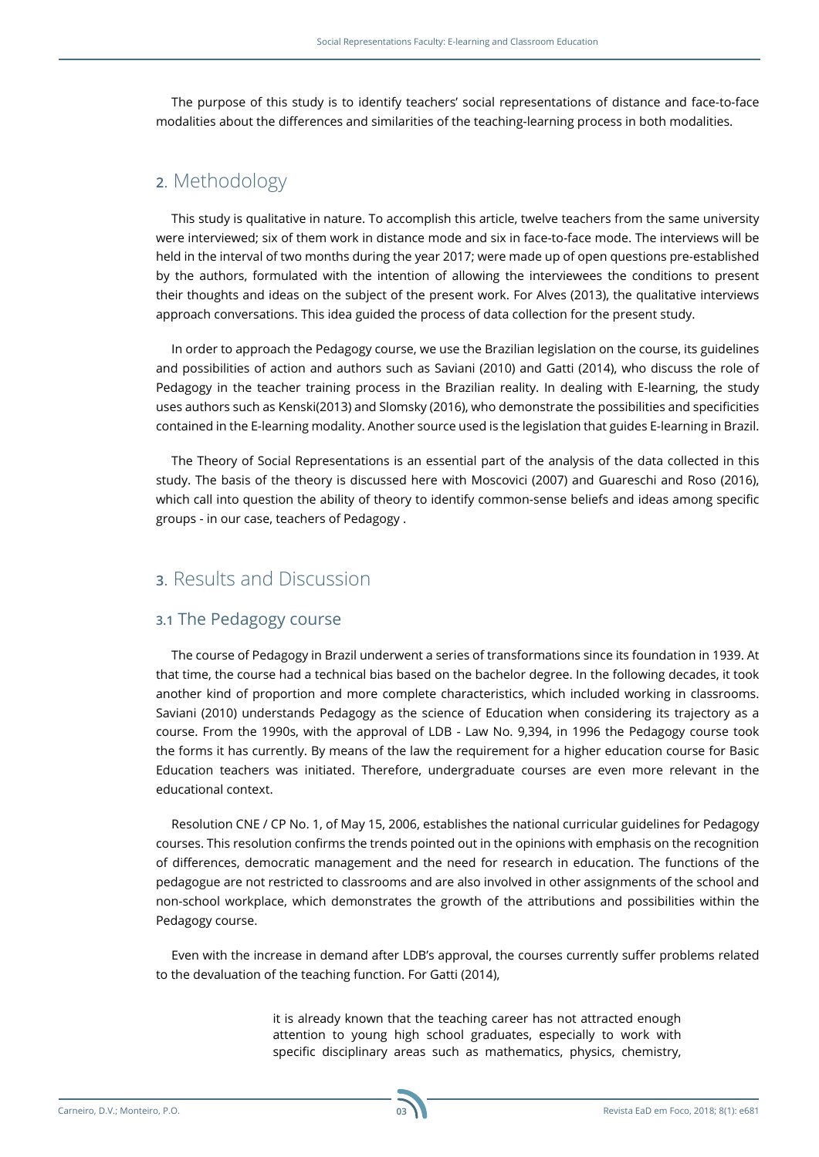The purpose of this study is to identify teachers' social representations of distance and face-to-face modalities about the differences and similarities of the teaching-learning process in both modalities.

# **2**. Methodology

This study is qualitative in nature. To accomplish this article, twelve teachers from the same university were interviewed; six of them work in distance mode and six in face-to-face mode. The interviews will be held in the interval of two months during the year 2017; were made up of open questions pre-established by the authors, formulated with the intention of allowing the interviewees the conditions to present their thoughts and ideas on the subject of the present work. For Alves (2013), the qualitative interviews approach conversations. This idea guided the process of data collection for the present study.

In order to approach the Pedagogy course, we use the Brazilian legislation on the course, its guidelines and possibilities of action and authors such as Saviani (2010) and Gatti (2014), who discuss the role of Pedagogy in the teacher training process in the Brazilian reality. In dealing with E-learning, the study uses authors such as Kenski(2013) and Slomsky (2016), who demonstrate the possibilities and specificities contained in the E-learning modality. Another source used is the legislation that guides E-learning in Brazil.

The Theory of Social Representations is an essential part of the analysis of the data collected in this study. The basis of the theory is discussed here with Moscovici (2007) and Guareschi and Roso (2016), which call into question the ability of theory to identify common-sense beliefs and ideas among specific groups - in our case, teachers of Pedagogy .

## **3**. Results and Discussion

#### **3.1** The Pedagogy course

The course of Pedagogy in Brazil underwent a series of transformations since its foundation in 1939. At that time, the course had a technical bias based on the bachelor degree. In the following decades, it took another kind of proportion and more complete characteristics, which included working in classrooms. Saviani (2010) understands Pedagogy as the science of Education when considering its trajectory as a course. From the 1990s, with the approval of LDB - Law No. 9,394, in 1996 the Pedagogy course took the forms it has currently. By means of the law the requirement for a higher education course for Basic Education teachers was initiated. Therefore, undergraduate courses are even more relevant in the educational context.

Resolution CNE / CP No. 1, of May 15, 2006, establishes the national curricular guidelines for Pedagogy courses. This resolution confirms the trends pointed out in the opinions with emphasis on the recognition of differences, democratic management and the need for research in education. The functions of the pedagogue are not restricted to classrooms and are also involved in other assignments of the school and non-school workplace, which demonstrates the growth of the attributions and possibilities within the Pedagogy course.

Even with the increase in demand after LDB's approval, the courses currently suffer problems related to the devaluation of the teaching function. For Gatti (2014),

> it is already known that the teaching career has not attracted enough attention to young high school graduates, especially to work with specific disciplinary areas such as mathematics, physics, chemistry,

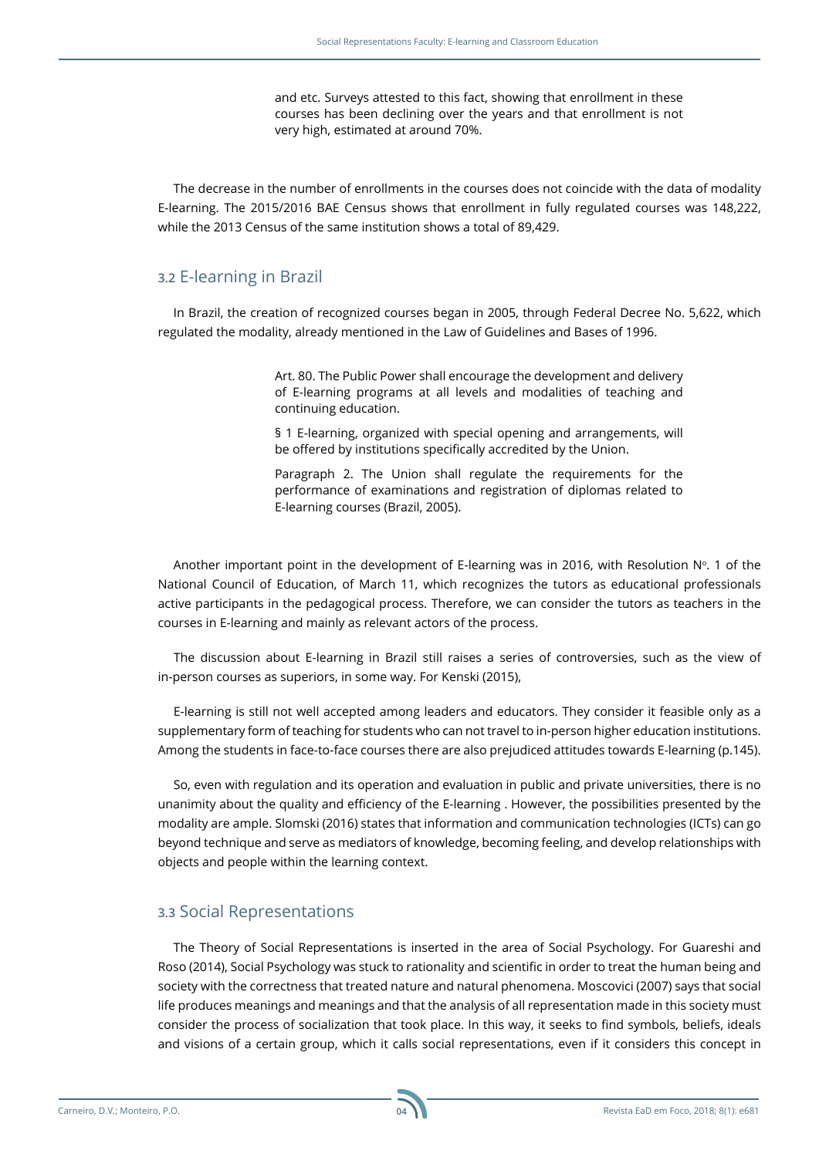and etc. Surveys attested to this fact, showing that enrollment in these courses has been declining over the years and that enrollment is not very high, estimated at around 70%.

The decrease in the number of enrollments in the courses does not coincide with the data of modality E-learning. The 2015/2016 BAE Census shows that enrollment in fully regulated courses was 148,222, while the 2013 Census of the same institution shows a total of 89,429.

#### **3.2** E-learning in Brazil

In Brazil, the creation of recognized courses began in 2005, through Federal Decree No. 5,622, which regulated the modality, already mentioned in the Law of Guidelines and Bases of 1996.

> Art. 80. The Public Power shall encourage the development and delivery of E-learning programs at all levels and modalities of teaching and continuing education.

> § 1 E-learning, organized with special opening and arrangements, will be offered by institutions specifically accredited by the Union.

> Paragraph 2. The Union shall regulate the requirements for the performance of examinations and registration of diplomas related to E-learning courses (Brazil, 2005).

Another important point in the development of E-learning was in 2016, with Resolution  $N^{\circ}$ . 1 of the National Council of Education, of March 11, which recognizes the tutors as educational professionals active participants in the pedagogical process. Therefore, we can consider the tutors as teachers in the courses in E-learning and mainly as relevant actors of the process.

The discussion about E-learning in Brazil still raises a series of controversies, such as the view of in-person courses as superiors, in some way. For Kenski (2015),

E-learning is still not well accepted among leaders and educators. They consider it feasible only as a supplementary form of teaching for students who can not travel to in-person higher education institutions. Among the students in face-to-face courses there are also prejudiced attitudes towards E-learning (p.145).

So, even with regulation and its operation and evaluation in public and private universities, there is no unanimity about the quality and efficiency of the E-learning . However, the possibilities presented by the modality are ample. Slomski (2016) states that information and communication technologies (ICTs) can go beyond technique and serve as mediators of knowledge, becoming feeling, and develop relationships with objects and people within the learning context.

#### **3.3** Social Representations

The Theory of Social Representations is inserted in the area of Social Psychology. For Guareshi and Roso (2014), Social Psychology was stuck to rationality and scientific in order to treat the human being and society with the correctness that treated nature and natural phenomena. Moscovici (2007) says that social life produces meanings and meanings and that the analysis of all representation made in this society must consider the process of socialization that took place. In this way, it seeks to find symbols, beliefs, ideals and visions of a certain group, which it calls social representations, even if it considers this concept in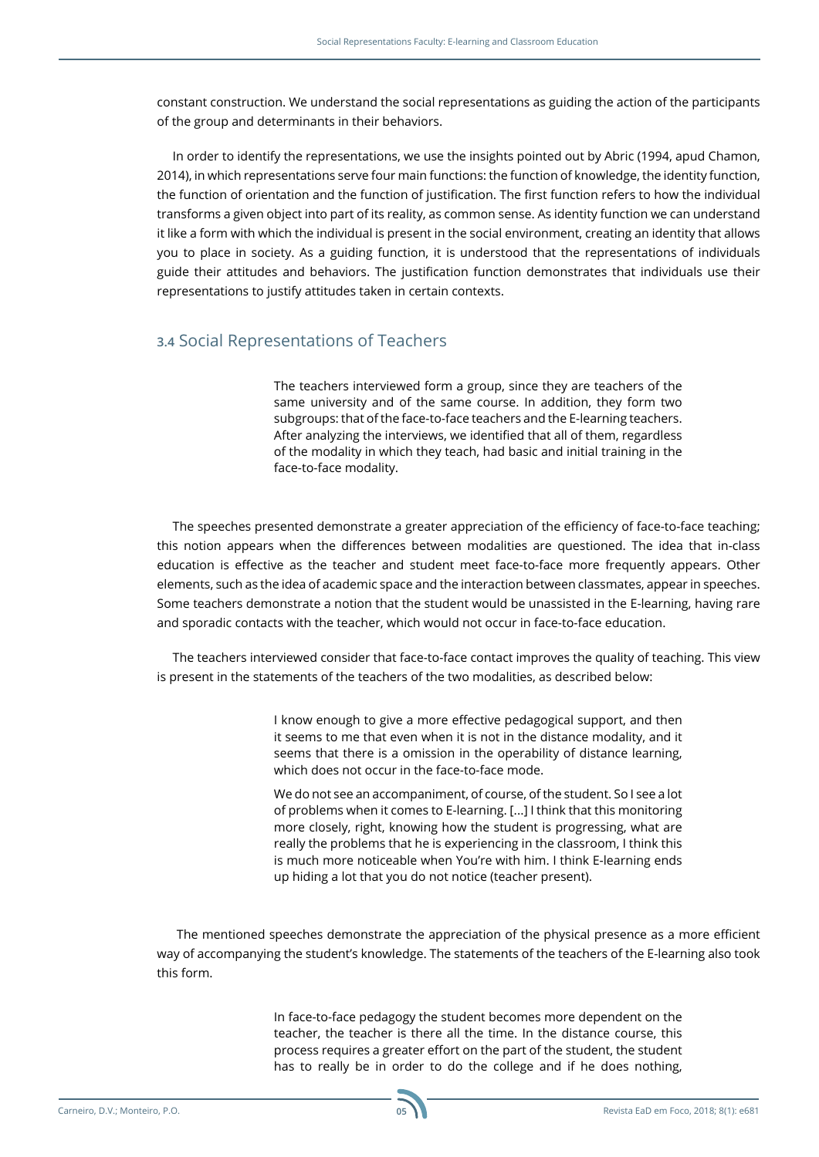constant construction. We understand the social representations as guiding the action of the participants of the group and determinants in their behaviors.

In order to identify the representations, we use the insights pointed out by Abric (1994, apud Chamon, 2014), in which representations serve four main functions: the function of knowledge, the identity function, the function of orientation and the function of justification. The first function refers to how the individual transforms a given object into part of its reality, as common sense. As identity function we can understand it like a form with which the individual is present in the social environment, creating an identity that allows you to place in society. As a guiding function, it is understood that the representations of individuals guide their attitudes and behaviors. The justification function demonstrates that individuals use their representations to justify attitudes taken in certain contexts.

#### **3.4** Social Representations of Teachers

The teachers interviewed form a group, since they are teachers of the same university and of the same course. In addition, they form two subgroups: that of the face-to-face teachers and the E-learning teachers. After analyzing the interviews, we identified that all of them, regardless of the modality in which they teach, had basic and initial training in the face-to-face modality.

The speeches presented demonstrate a greater appreciation of the efficiency of face-to-face teaching; this notion appears when the differences between modalities are questioned. The idea that in-class education is effective as the teacher and student meet face-to-face more frequently appears. Other elements, such as the idea of academic space and the interaction between classmates, appear in speeches. Some teachers demonstrate a notion that the student would be unassisted in the E-learning, having rare and sporadic contacts with the teacher, which would not occur in face-to-face education.

The teachers interviewed consider that face-to-face contact improves the quality of teaching. This view is present in the statements of the teachers of the two modalities, as described below:

> I know enough to give a more effective pedagogical support, and then it seems to me that even when it is not in the distance modality, and it seems that there is a omission in the operability of distance learning, which does not occur in the face-to-face mode.

> We do not see an accompaniment, of course, of the student. So I see a lot of problems when it comes to E-learning. [...] I think that this monitoring more closely, right, knowing how the student is progressing, what are really the problems that he is experiencing in the classroom, I think this is much more noticeable when You're with him. I think E-learning ends up hiding a lot that you do not notice (teacher present).

 The mentioned speeches demonstrate the appreciation of the physical presence as a more efficient way of accompanying the student's knowledge. The statements of the teachers of the E-learning also took this form.

> In face-to-face pedagogy the student becomes more dependent on the teacher, the teacher is there all the time. In the distance course, this process requires a greater effort on the part of the student, the student has to really be in order to do the college and if he does nothing,

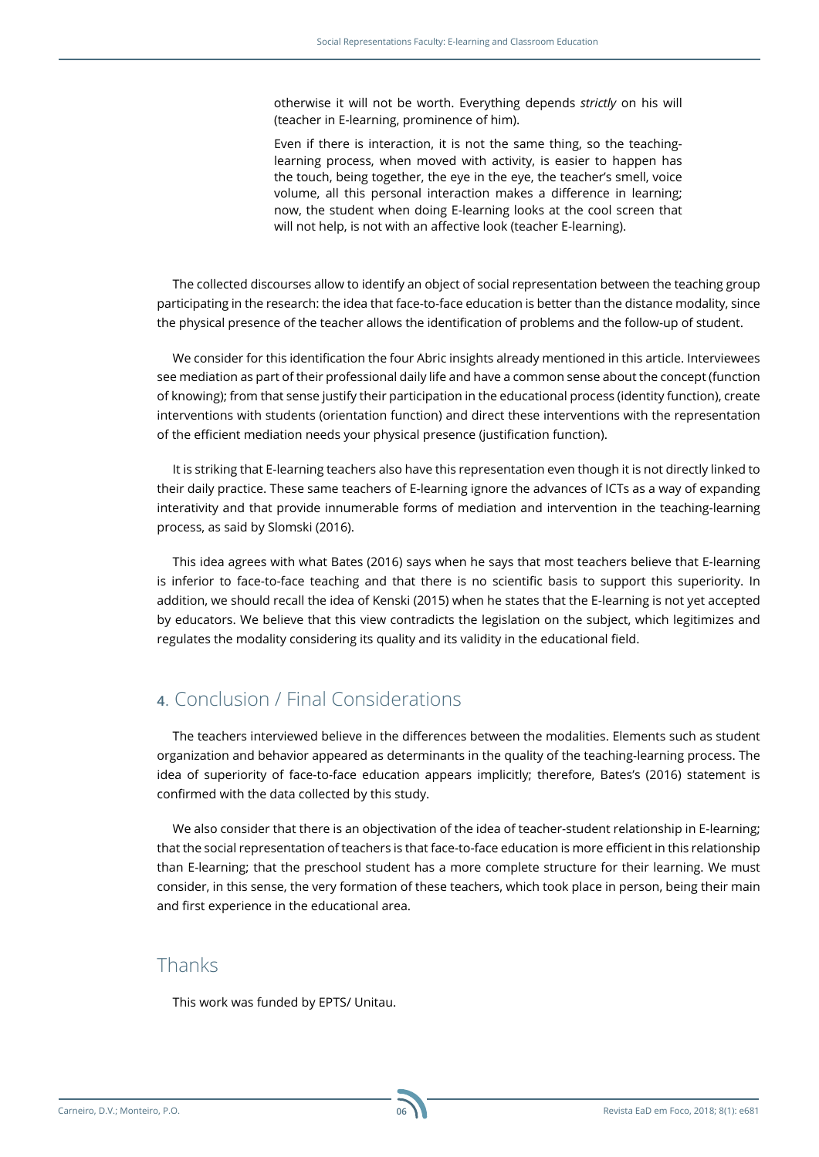otherwise it will not be worth. Everything depends *strictly* on his will (teacher in E-learning, prominence of him).

Even if there is interaction, it is not the same thing, so the teachinglearning process, when moved with activity, is easier to happen has the touch, being together, the eye in the eye, the teacher's smell, voice volume, all this personal interaction makes a difference in learning; now, the student when doing E-learning looks at the cool screen that will not help, is not with an affective look (teacher E-learning).

The collected discourses allow to identify an object of social representation between the teaching group participating in the research: the idea that face-to-face education is better than the distance modality, since the physical presence of the teacher allows the identification of problems and the follow-up of student.

We consider for this identification the four Abric insights already mentioned in this article. Interviewees see mediation as part of their professional daily life and have a common sense about the concept (function of knowing); from that sense justify their participation in the educational process (identity function), create interventions with students (orientation function) and direct these interventions with the representation of the efficient mediation needs your physical presence (justification function).

It is striking that E-learning teachers also have this representation even though it is not directly linked to their daily practice. These same teachers of E-learning ignore the advances of ICTs as a way of expanding interativity and that provide innumerable forms of mediation and intervention in the teaching-learning process, as said by Slomski (2016).

This idea agrees with what Bates (2016) says when he says that most teachers believe that E-learning is inferior to face-to-face teaching and that there is no scientific basis to support this superiority. In addition, we should recall the idea of Kenski (2015) when he states that the E-learning is not yet accepted by educators. We believe that this view contradicts the legislation on the subject, which legitimizes and regulates the modality considering its quality and its validity in the educational field.

# **4**. Conclusion / Final Considerations

The teachers interviewed believe in the differences between the modalities. Elements such as student organization and behavior appeared as determinants in the quality of the teaching-learning process. The idea of superiority of face-to-face education appears implicitly; therefore, Bates's (2016) statement is confirmed with the data collected by this study.

We also consider that there is an objectivation of the idea of teacher-student relationship in E-learning; that the social representation of teachers is that face-to-face education is more efficient in this relationship than E-learning; that the preschool student has a more complete structure for their learning. We must consider, in this sense, the very formation of these teachers, which took place in person, being their main and first experience in the educational area.

## **Thanks**

This work was funded by EPTS/ Unitau.